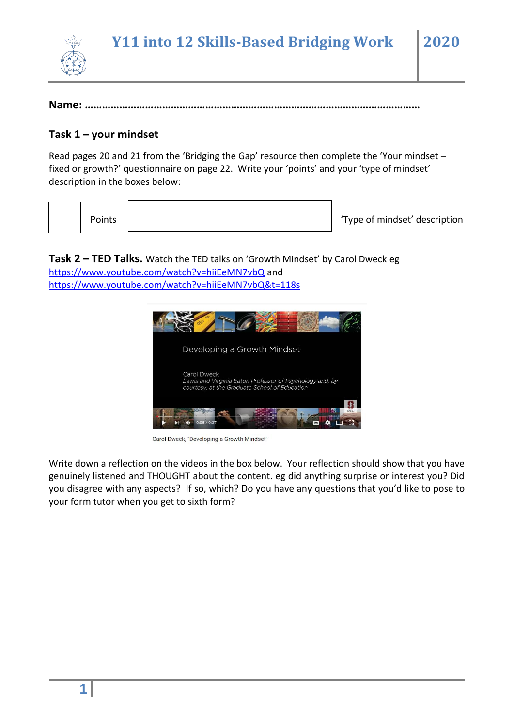

**Name: ………………………………………………………………………………………………………**

### **Task 1 – your mindset**

Read pages 20 and 21 from the 'Bridging the Gap' resource then complete the 'Your mindset – fixed or growth?' questionnaire on page 22. Write your 'points' and your 'type of mindset' description in the boxes below:

Points | Type of mindset' description

**Task 2 – TED Talks.** Watch the TED talks on 'Growth Mindset' by Carol Dweck eg <https://www.youtube.com/watch?v=hiiEeMN7vbQ> and <https://www.youtube.com/watch?v=hiiEeMN7vbQ&t=118s>



Carol Dweck, "Developing a Growth Mindset"

Write down a reflection on the videos in the box below. Your reflection should show that you have genuinely listened and THOUGHT about the content. eg did anything surprise or interest you? Did you disagree with any aspects? If so, which? Do you have any questions that you'd like to pose to your form tutor when you get to sixth form?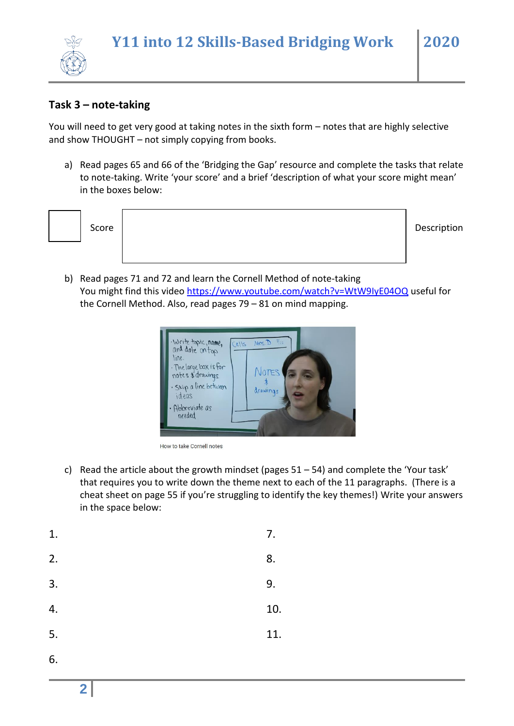## **Task 3 – note-taking**

You will need to get very good at taking notes in the sixth form – notes that are highly selective and show THOUGHT – not simply copying from books.

a) Read pages 65 and 66 of the 'Bridging the Gap' resource and complete the tasks that relate to note-taking. Write 'your score' and a brief 'description of what your score might mean' in the boxes below:

|  | Score | Description |
|--|-------|-------------|
|  |       |             |

b) Read pages 71 and 72 and learn the Cornell Method of note-taking You might find this video<https://www.youtube.com/watch?v=WtW9IyE04OQ> useful for the Cornell Method. Also, read pages 79 – 81 on mind mapping.



How to take Cornell notes

c) Read the article about the growth mindset (pages  $51 - 54$ ) and complete the 'Your task' that requires you to write down the theme next to each of the 11 paragraphs. (There is a cheat sheet on page 55 if you're struggling to identify the key themes!) Write your answers in the space below:

| 1. | 7.  |
|----|-----|
| 2. | 8.  |
| 3. | 9.  |
| 4. | 10. |
| 5. | 11. |
| 6. |     |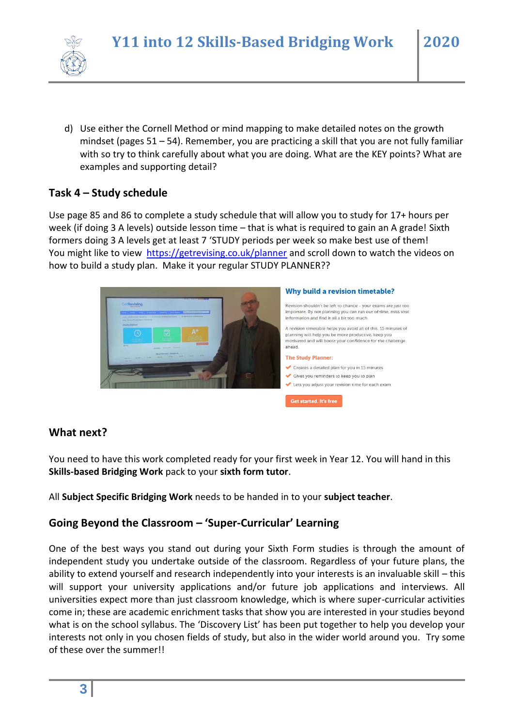

d) Use either the Cornell Method or mind mapping to make detailed notes on the growth mindset (pages 51 – 54). Remember, you are practicing a skill that you are not fully familiar with so try to think carefully about what you are doing. What are the KEY points? What are examples and supporting detail?

# **Task 4 – Study schedule**

Use page 85 and 86 to complete a study schedule that will allow you to study for 17+ hours per week (if doing 3 A levels) outside lesson time – that is what is required to gain an A grade! Sixth formers doing 3 A levels get at least 7 'STUDY periods per week so make best use of them! You might like to view <https://getrevising.co.uk/planner> and scroll down to watch the videos on how to build a study plan. Make it your regular STUDY PLANNER??



#### Why build a revision timetable?

Revision shouldn't be left to chance - your exams are just too important. By not planning you can run out of time, miss vital information and find it all a bit too much.

A revision timerable helps you avoid all of this 15 minutes of planning will help you be more productive, keep you motivated and will boost your confidence for the challenge ahead.

#### **The Study Planner:**

Get started. It's free

Creates a detailed plan for you in 15 minutes

- Gives you reminders to keep you to plan
- Lets you adjust your revision time for each exam

### **What next?**

You need to have this work completed ready for your first week in Year 12. You will hand in this **Skills-based Bridging Work** pack to your **sixth form tutor**.

All **Subject Specific Bridging Work** needs to be handed in to your **subject teacher**.

### **Going Beyond the Classroom – 'Super-Curricular' Learning**

One of the best ways you stand out during your Sixth Form studies is through the amount of independent study you undertake outside of the classroom. Regardless of your future plans, the ability to extend yourself and research independently into your interests is an invaluable skill – this will support your university applications and/or future job applications and interviews. All universities expect more than just classroom knowledge, which is where super-curricular activities come in; these are academic enrichment tasks that show you are interested in your studies beyond what is on the school syllabus. The 'Discovery List' has been put together to help you develop your interests not only in you chosen fields of study, but also in the wider world around you. Try some of these over the summer!!